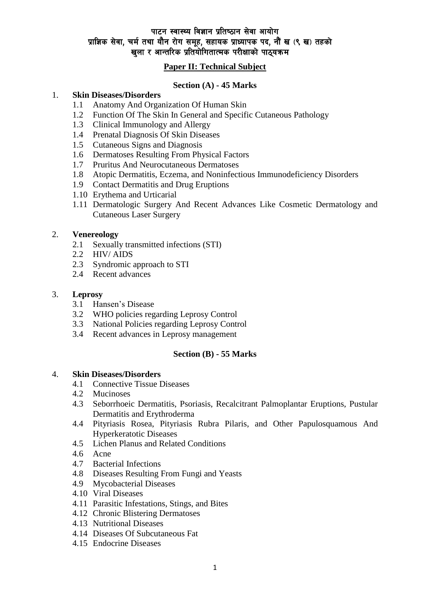# पाटन स्वास्थ्य विज्ञान प्रतिष्ठान सेवा आयोग प्राज्ञिक सेवा, चर्म तथा यौन रोग समूह, सहायक प्राध्यापक पद, नौं ख (९ ख) तहको खला र आन्तरिक प्रतियोगितात्मक परीक्षाको पाठ्यक्रम

# **Paper II: Technical Subject**

## **Section (A) - 45 Marks**

#### 1. **Skin Diseases/Disorders**

- 1.1 Anatomy And Organization Of Human Skin
- 1.2 Function Of The Skin In General and Specific Cutaneous Pathology
- 1.3 Clinical Immunology and Allergy
- 1.4 Prenatal Diagnosis Of Skin Diseases
- 1.5 Cutaneous Signs and Diagnosis
- 1.6 Dermatoses Resulting From Physical Factors
- 1.7 Pruritus And Neurocutaneous Dermatoses
- 1.8 Atopic Dermatitis, Eczema, and Noninfectious Immunodeficiency Disorders
- 1.9 Contact Dermatitis and Drug Eruptions
- 1.10 Erythema and Urticarial
- 1.11 Dermatologic Surgery And Recent Advances Like Cosmetic Dermatology and Cutaneous Laser Surgery

#### 2. **Venereology**

- 2.1 Sexually transmitted infections (STI)
- 2.2 HIV/ AIDS
- 2.3 Syndromic approach to STI
- 2.4 Recent advances

#### 3. **Leprosy**

- 3.1 Hansen's Disease
- 3.2 WHO policies regarding Leprosy Control
- 3.3 National Policies regarding Leprosy Control
- 3.4 Recent advances in Leprosy management

## **Section (B) - 55 Marks**

#### 4. **Skin Diseases/Disorders**

- 4.1 Connective Tissue Diseases
- 4.2 Mucinoses
- 4.3 Seborrhoeic Dermatitis, Psoriasis, Recalcitrant Palmoplantar Eruptions, Pustular Dermatitis and Erythroderma
- 4.4 Pityriasis Rosea, Pityriasis Rubra Pilaris, and Other Papulosquamous And Hyperkeratotic Diseases
- 4.5 Lichen Planus and Related Conditions
- 4.6 Acne
- 4.7 Bacterial Infections
- 4.8 Diseases Resulting From Fungi and Yeasts
- 4.9 Mycobacterial Diseases
- 4.10 Viral Diseases
- 4.11 Parasitic Infestations, Stings, and Bites
- 4.12 Chronic Blistering Dermatoses
- 4.13 Nutritional Diseases
- 4.14 Diseases Of Subcutaneous Fat
- 4.15 Endocrine Diseases